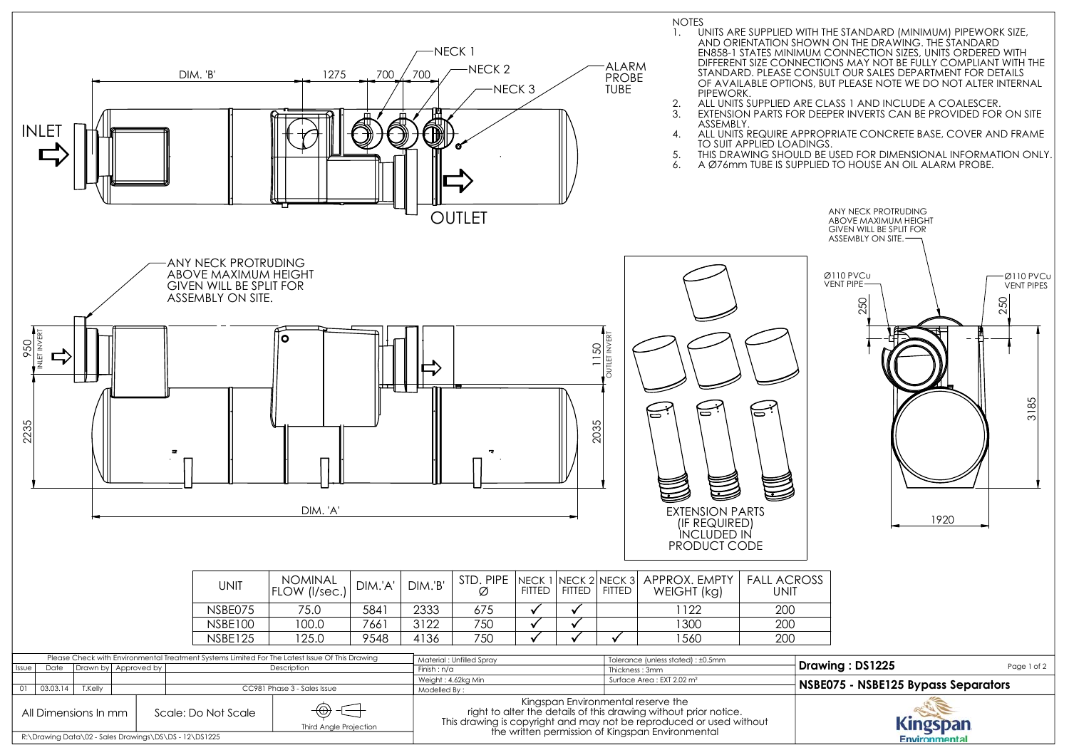